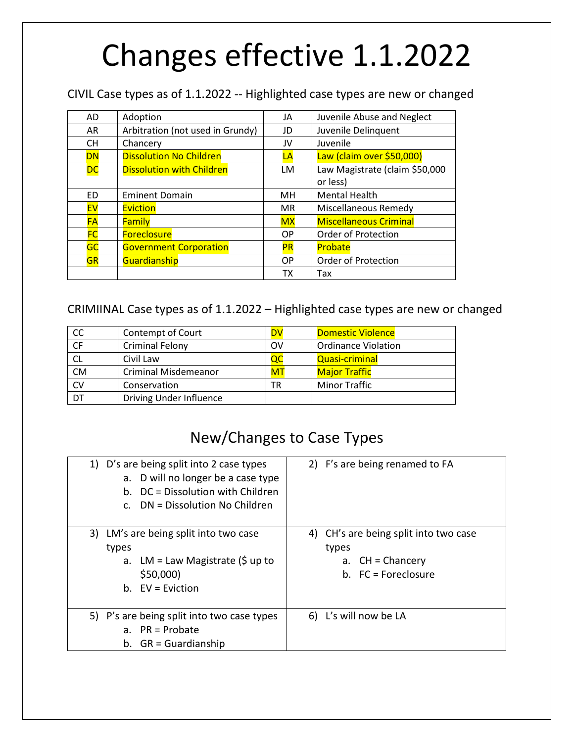# Changes effective 1.1.2022

CIVIL Case types as of 1.1.2022 -- Highlighted case types are new or changed

| <b>AD</b> | Adoption                         | JA        | Juvenile Abuse and Neglect     |
|-----------|----------------------------------|-----------|--------------------------------|
| AR        | Arbitration (not used in Grundy) | JD        | Juvenile Delinquent            |
| <b>CH</b> | Chancery                         | JV        | Juvenile                       |
| DN        | <b>Dissolution No Children</b>   | LA        | Law (claim over \$50,000)      |
| <b>DC</b> | <b>Dissolution with Children</b> | <b>LM</b> | Law Magistrate (claim \$50,000 |
|           |                                  |           | or less)                       |
| <b>ED</b> | <b>Eminent Domain</b>            | MН        | <b>Mental Health</b>           |
| <b>EV</b> | <b>Eviction</b>                  | <b>MR</b> | <b>Miscellaneous Remedy</b>    |
| <b>FA</b> | <b>Family</b>                    | <b>MX</b> | <b>Miscellaneous Criminal</b>  |
| <b>FC</b> | <b>Foreclosure</b>               | OP        | Order of Protection            |
| GC        | <b>Government Corporation</b>    | <b>PR</b> | Probate                        |
| <b>GR</b> | Guardianship                     | OP        | Order of Protection            |
|           |                                  | тх        | Tax                            |

### CRIMIINAL Case types as of 1.1.2022 – Highlighted case types are new or changed

| <b>CC</b> | Contempt of Court           | DV | <b>Domestic Violence</b>   |
|-----------|-----------------------------|----|----------------------------|
| CF        | <b>Criminal Felony</b>      | OV | <b>Ordinance Violation</b> |
| <b>CL</b> | Civil Law                   | QC | <b>Quasi-criminal</b>      |
| <b>CM</b> | <b>Criminal Misdemeanor</b> | MT | <b>Major Traffic</b>       |
| <b>CV</b> | Conservation                | TR | <b>Minor Traffic</b>       |
| DT        | Driving Under Influence     |    |                            |

## New/Changes to Case Types

| 1) D's are being split into 2 case types<br>a. D will no longer be a case type<br>b. DC = Dissolution with Children<br>$c.$ DN = Dissolution No Children | 2) F's are being renamed to FA                                                                |
|----------------------------------------------------------------------------------------------------------------------------------------------------------|-----------------------------------------------------------------------------------------------|
| 3) LM's are being split into two case<br>types<br>LM = Law Magistrate (\$ up to<br>a.<br>\$50,000)<br>b. $EV = Evidation$                                | 4) CH's are being split into two case<br>types<br>a. $CH = ChancerV$<br>$b.$ FC = Foreclosure |
| 5) P's are being split into two case types<br>a. $PR = Probate$<br>b. $GR =$ Guardianship                                                                | 6) L's will now be LA                                                                         |